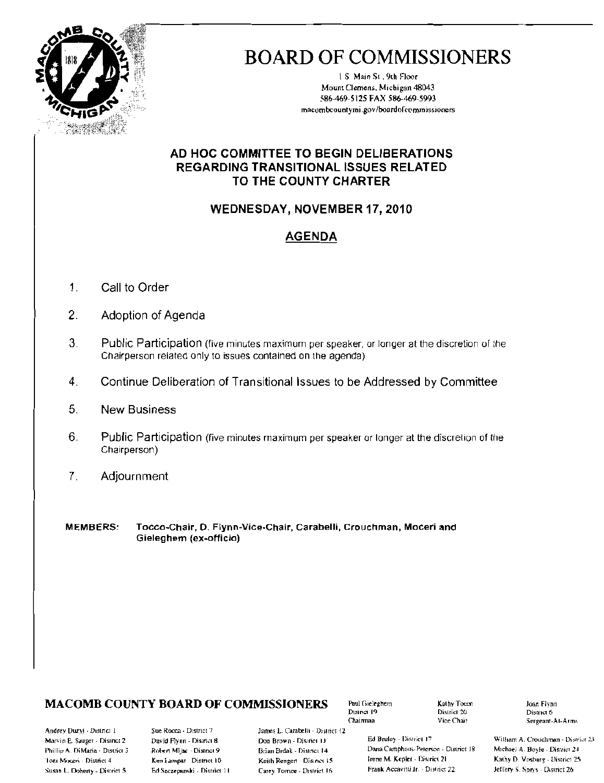

# **BOARD OF COMMISSIONERS**

1.S. Main St., 9th Floor Mount Clemens, Michigan 48043 586-469-5125 FAX 586-469-5993 macombcountymi.gov/boardofcommissioners

### AD HOC COMMITTEE TO BEGIN DELIBERATIONS **REGARDING TRANSITIONAL ISSUES RELATED** TO THE COUNTY CHARTER

### **WEDNESDAY, NOVEMBER 17, 2010**

## **AGENDA**

- $\mathbf{1}$ . Call to Order
- $2.$ Adoption of Agenda
- 3. Public Participation (five minutes maximum per speaker, or longer at the discretion of the Chairperson related only to issues contained on the agenda)
- Continue Deliberation of Transitional Issues to be Addressed by Committee 4
- 5. **New Business**
- 6. Public Participation (five minutes maximum per speaker or longer at the discretion of the Chairperson)
- Adjournment 7.
- **MEMBERS:** Tocco-Chair, D. Flynn-Vice-Chair, Carabelli, Crouchman, Moceri and Gieleghem (ex-officio)

## **MACOMB COUNTY BOARD OF COMMISSIONERS**

Paul Gieleghem District 19 Chairman

Kathy Tocco District 20 Vice Chair

Joan Flynn District 6 Sergeant-At-Arms

Andrey Duzyj - District 1 Marvin F., Sauger - District 2 Phillip A. DiMaria - District 3 Toni Mocen - District 4 Susan L. Doherty - District 5

Sue Rooca - District 7 David Flynn - Disariet 8 Robert Mijac - District 9 Ken Lampar District 10 Ed Szczepanski - District 11 James L. Carabelli - District 12 Don Brown - District 13 Brian Brdak - District 14 Keith Rengert - District 15 Carey Tornoe - District 16

Ed Bruley - District 17 Dana Camphous-Peterson - District 18 Trene M. Kepler - District 21 Frank Accavitti Jr. - District 22

William A. Crouchman - District 23 Michael A. Boyle - District 24 Kathy D. Vesburg - District 25 Jeffery S. Sprys - District 26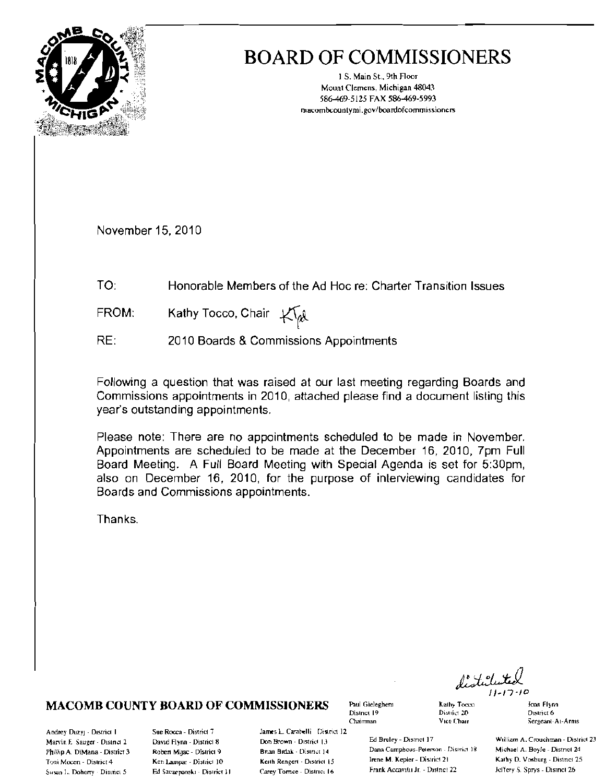

## **BOARD OF COMMISSIONERS**

1 S. Main St., 9th Floor Mount Clemens, Michigan 48043 586-469-5125 FAX 586-469-5993 macombcountymi.gov/boardofcommissioners

November 15, 2010

- $TO:$ Honorable Members of the Ad Hoc re: Charter Transition Issues
- Kathy Tocco, Chair Klat FROM:
- RF: 2010 Boards & Commissions Appointments

Following a question that was raised at our last meeting regarding Boards and Commissions appointments in 2010, attached please find a document listing this year's outstanding appointments.

Please note: There are no appointments scheduled to be made in November. Appointments are scheduled to be made at the December 16, 2010, 7pm Full Board Meeting. A Full Board Meeting with Special Agenda is set for 5:30pm, also on December 16, 2010, for the purpose of interviewing candidates for Boards and Commissions appointments.

James L. Carabelli District 12

Don Brown - District 13

Brian Brdak - District 14

Keith Rencert - District 15

Carey Tornce - District 16

Thanks.

#### **MACOMB COUNTY BOARD OF COMMISSIONERS**

Andrey Duzyj - District 1 Marvin E. Sauger - District 2 Phillip A. DiMana - District 3 Toni Mocen - District 4 Susan L. Doherry - District 5

Sue Rocca - District 7 David Flynn - District 8 Robert Mijac - District 9 Ken Lampar - District 10 Ed Szczeponski - District II Paul Gieleghem District 19 Chairman

Kathy Tooco

District 20

Vice Chair

**Joan Flynn** District 6 Sergeant-At-Arms

Ed Bruley - District 17 Dana Camphous-Peterson - District 18 Irene M. Kepler - District 21 Frank Accavitu Jr. - Distnet 22

William A. Crouchman - District 23 Michael A. Boyle - District 24 Kathy D. Vosburg - District 25 Jeffery S. Sprys - Dismet 26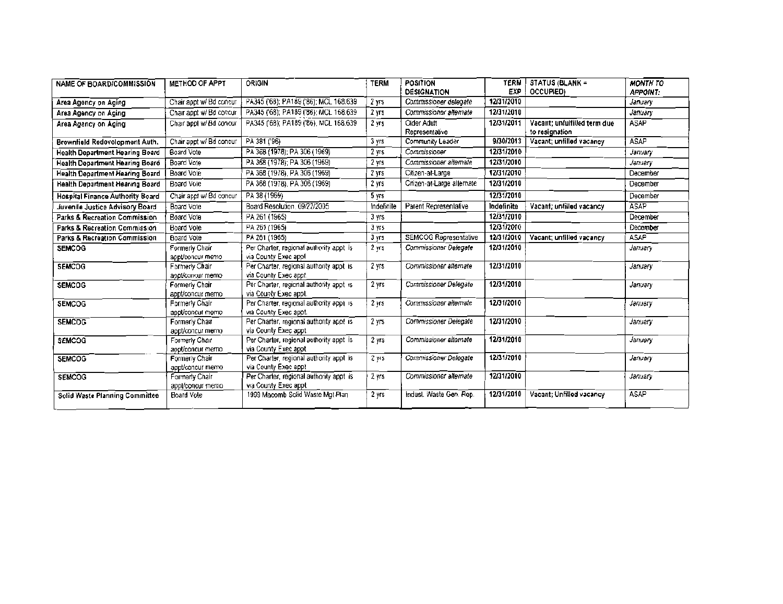| <b>NAME OF BOARD/COMMISSION</b>          | <b>METHOD OF APPT</b>               | ORIGIN                                                           | <b>TERM</b>       | <b>POSITION</b><br>DESIGNATION | <b>TERM</b><br>EXP | STATUS (BLANK =<br>OCCUPIED)                   | <b>MONTH TO</b><br><b>APPOINT:</b> |
|------------------------------------------|-------------------------------------|------------------------------------------------------------------|-------------------|--------------------------------|--------------------|------------------------------------------------|------------------------------------|
| Area Agency on Aging                     | Chair appt w/ Bd concur             | PA345 ('68); PA189 ('86); MCL 168.639                            | 2 yrs             | Commissioner delegate          | 12/31/2010         |                                                | January                            |
| Area Agency on Aging                     | Chair appt w/ Bd concur             | PA345 ('68); PA189 ('86); MCL 168.639                            | 2 <sub>Y5</sub>   | Commissioner alternate         | 12/31/2010         |                                                | January                            |
| Area Agency on Aging                     | Chair appl w/ Bd concur             | PA345 ('68); PA189 ('86), MCL 168.639                            | 2 yrs             | Older Adult<br>Representative  | 12/31/2011         | Vacant: unfulfilled term due<br>to resignation | <b>ASAP</b>                        |
| Brownfield Redevelopment Auth.           | Chair appt w/ Bd concur             | PA 381 ('96)                                                     | 3 yrs             | Community Leader               | 9/30/2013          | Vacant; unfilled vacancy                       | <b>ASAP</b>                        |
| <b>Health Department Hearing Board</b>   | Board Vote                          | PA 368 (1978); PA 306 (1969)                                     | 2 yrs             | Commissioner                   | 12/31/2010         |                                                | January                            |
| <b>Health Department Hearing Board</b>   | Board Vote                          | PA 368 (1978); PA 306 (1969).                                    | 2 yrs             | Commissioner alternale         | 12/31/2010         |                                                | January                            |
| <b>Health Department Hearing Board</b>   | Board Vote                          | PA 368 (1978), PA 306 (1969)                                     | 2 yrs             | Citizen-at-Large               | 12/31/2010         |                                                | December                           |
| <b>Health Department Hearing Board</b>   | Board Vole                          | PA 368 (1978), PA 306 (1969)                                     | 2 yrs             | Citizen-at-Large allemate      | 12/31/2010         |                                                | December                           |
| <b>Hospital Finance Authority Board</b>  | Chair appt w/ Bd concur             | PA 38 (1969)                                                     | 5 <sub>ws</sub>   |                                | 12/31/2010         |                                                | December                           |
| Juvenile Justice Advisory Board          | Board Vote                          | Board Resolution, 09/22/2005                                     | indefinite        | Parent Representative          | Indefinite         | Vacant; unfilled vacancy                       | <b>ASAP</b>                        |
| <b>Parks &amp; Recreation Commission</b> | Board Vote                          | PA 261 (1965)                                                    | 3 yrs             |                                | 12/31/2010         |                                                | December                           |
| Parks & Recreation Commission            | <b>Board Vote</b>                   | PA 261 (1965)                                                    | 3 yrs             |                                | 12/31/2010         |                                                | December                           |
| Parks & Recreation Commission            | Board Vote                          | PA 261 (1965)                                                    | 3 yrs             | SEMCOG Representative          | 12/31/2010         | Vacant; unfilled vacancy                       | <b>ASAP</b>                        |
| <b>SEMCOG</b>                            | Formerly Chair<br>appliconcur memo  | Per Charter, regional authority appt is<br>via County Exec appl  | $2 \text{ yrs}$   | Commissioner Delegate          | 12/31/2010         |                                                | January                            |
| <b>SEMCOG</b>                            | Formerly Chair<br>appliconcur memo  | Per Charter, regional authority appt is<br>via County Exec appt. | 2 yrs             | Commissioner alternate         | 12/31/2010         |                                                | January                            |
| <b>SEMCOG</b>                            | Formerly Chair<br>appt/concur memo  | Per Charter, regional authority appt is<br>via County Exec appt. | 2 yrs             | Commissioner Delegate          | 12/31/2010         |                                                | January                            |
| <b>SEMCOG</b>                            | Formerly Chair<br>appt/concur memo  | Per Charter, regional authority appl is<br>via County Exec appt. | $2$ krs           | Commissioner alternate         | 12/31/2010         |                                                | January                            |
| <b>SEMCOG</b>                            | Formerly Chair<br>appt/concurimento | Per Charter, regional authority appt is<br>via County Exec appt. | 2 yrs             | Commissioner Delegate          | 12/31/2010         |                                                | January                            |
| <b>SEMCOG</b>                            | Formerly Chair<br>appt/concur memo  | Per Charter, regional authority appt is<br>via County Exec appt. | 2 yrs             | Commissioner alternate         | 12/31/2010         |                                                | January                            |
| <b>SEMCOG</b>                            | Formerly Chair<br>appt/concur memo- | Per Charter, regional authority appt is<br>via County Exec appt  | 2 yrs             | Commissioner Delegate          | 12/31/2010         |                                                | January                            |
| <b>SEMCOG</b>                            | Formerly Chair<br>appl/concur memo  | Per Charter, regional authority appt is<br>via County Exec appt  | $2 \, \text{yrs}$ | Commissioner alternate         | 12/31/2010         |                                                | January                            |
| Solid Waste Planning Committee           | Board Vole                          | 1999 Macomb Solid Waste Mgt Plan                                 | 2 yrs             | Indust. Waste Gen. Rep.        | 12/31/2010         | Vacant: Unfilled vacancy                       | <b>ASAP</b>                        |
|                                          |                                     |                                                                  |                   |                                |                    |                                                |                                    |